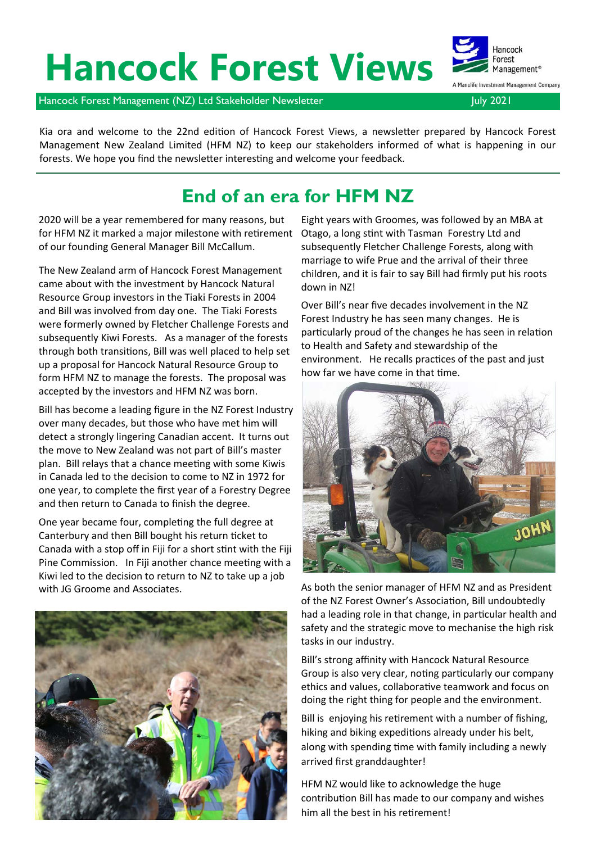# **Hancock Forest Views**

Hancock Forest Management<sup>®</sup> Manulife Investment Management Company

Hancock Forest Management (NZ) Ltd Stakeholder Newsletter July 2021 and Duly 2021

Kia ora and welcome to the 22nd edition of Hancock Forest Views, a newsletter prepared by Hancock Forest Management New Zealand Limited (HFM NZ) to keep our stakeholders informed of what is happening in our forests. We hope you find the newsletter interesting and welcome your feedback.

## **End of an era for HFM NZ**

2020 will be a year remembered for many reasons, but for HFM NZ it marked a major milestone with retirement of our founding General Manager Bill McCallum.

The New Zealand arm of Hancock Forest Management came about with the investment by Hancock Natural Resource Group investors in the Tiaki Forests in 2004 and Bill was involved from day one. The Tiaki Forests were formerly owned by Fletcher Challenge Forests and subsequently Kiwi Forests. As a manager of the forests through both transitions, Bill was well placed to help set up a proposal for Hancock Natural Resource Group to form HFM NZ to manage the forests. The proposal was accepted by the investors and HFM NZ was born.

Bill has become a leading figure in the NZ Forest Industry over many decades, but those who have met him will detect a strongly lingering Canadian accent. It turns out the move to New Zealand was not part of Bill's master plan. Bill relays that a chance meeting with some Kiwis in Canada led to the decision to come to NZ in 1972 for one year, to complete the first year of a Forestry Degree and then return to Canada to finish the degree.

One year became four, completing the full degree at Canterbury and then Bill bought his return ticket to Canada with a stop off in Fiji for a short stint with the Fiji Pine Commission. In Fiji another chance meeting with a Kiwi led to the decision to return to NZ to take up a job with JG Groome and Associates.

Eight years with Groomes, was followed by an MBA at Otago, a long stint with Tasman Forestry Ltd and subsequently Fletcher Challenge Forests, along with marriage to wife Prue and the arrival of their three children, and it is fair to say Bill had firmly put his roots down in NZ!

Over Bill's near five decades involvement in the NZ Forest Industry he has seen many changes. He is particularly proud of the changes he has seen in relation to Health and Safety and stewardship of the environment. He recalls practices of the past and just how far we have come in that time.



As both the senior manager of HFM NZ and as President of the NZ Forest Owner's Association, Bill undoubtedly had a leading role in that change, in particular health and safety and the strategic move to mechanise the high risk tasks in our industry.

Bill's strong affinity with Hancock Natural Resource Group is also very clear, noting particularly our company ethics and values, collaborative teamwork and focus on doing the right thing for people and the environment.

Bill is enjoying his retirement with a number of fishing, hiking and biking expeditions already under his belt, along with spending time with family including a newly arrived first granddaughter!

HFM NZ would like to acknowledge the huge contribution Bill has made to our company and wishes him all the best in his retirement!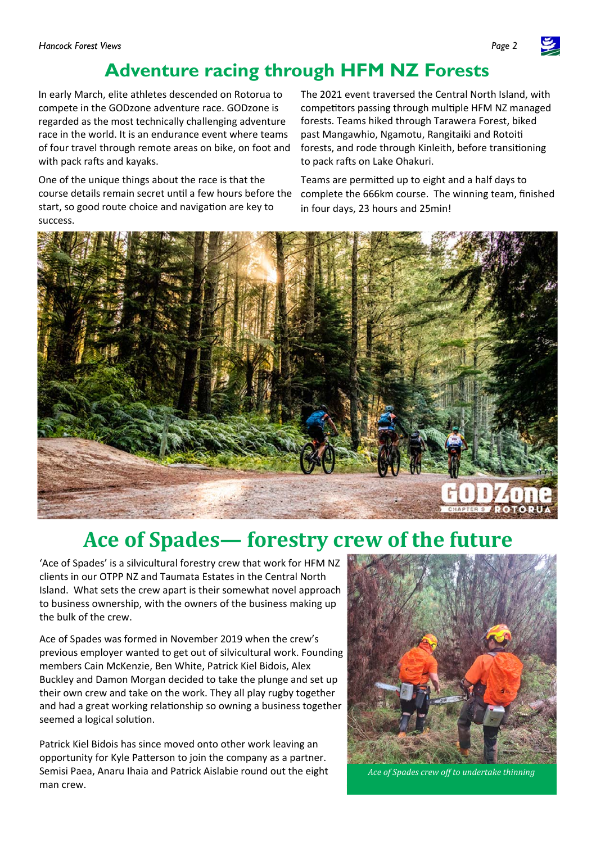## **Adventure racing through HFM NZ Forests**

In early March, elite athletes descended on Rotorua to compete in the GODzone adventure race. GODzone is regarded as the most technically challenging adventure race in the world. It is an endurance event where teams of four travel through remote areas on bike, on foot and with pack rafts and kayaks.

One of the unique things about the race is that the course details remain secret until a few hours before the start, so good route choice and navigation are key to success.

The 2021 event traversed the Central North Island, with competitors passing through multiple HFM NZ managed forests. Teams hiked through Tarawera Forest, biked past Mangawhio, Ngamotu, Rangitaiki and Rotoiti forests, and rode through Kinleith, before transitioning to pack rafts on Lake Ohakuri.

Teams are permitted up to eight and a half days to complete the 666km course. The winning team, finished in four days, 23 hours and 25min!



# **Ace of Spades— forestry crew of the future**

'Ace of Spades' is a silvicultural forestry crew that work for HFM NZ clients in our OTPP NZ and Taumata Estates in the Central North Island. What sets the crew apart is their somewhat novel approach to business ownership, with the owners of the business making up the bulk of the crew.

Ace of Spades was formed in November 2019 when the crew's previous employer wanted to get out of silvicultural work. Founding members Cain McKenzie, Ben White, Patrick Kiel Bidois, Alex Buckley and Damon Morgan decided to take the plunge and set up their own crew and take on the work. They all play rugby together and had a great working relationship so owning a business together seemed a logical solution.

Patrick Kiel Bidois has since moved onto other work leaving an opportunity for Kyle Patterson to join the company as a partner. Semisi Paea, Anaru Ihaia and Patrick Aislabie round out the eight man crew.



*Ace of Spades crew off to undertake thinning* 

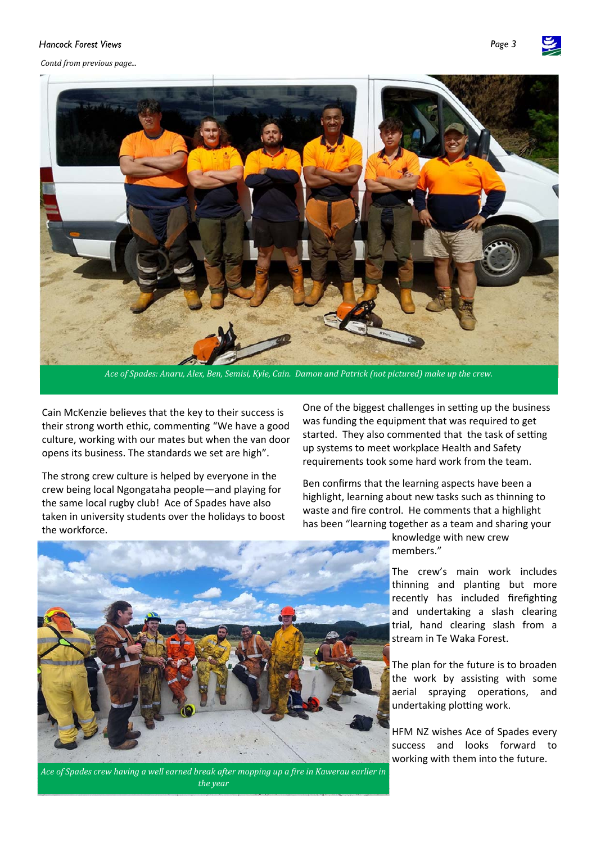#### Hancock Forest Views

*Contd from previous page...*



Ace of Spades: Anaru, Alex, Ben, Semisi, Kyle, Cain. Damon and Patrick (not pictured) make up the crew.

Cain McKenzie believes that the key to their success is their strong worth ethic, commenting "We have a good culture, working with our mates but when the van door opens its business. The standards we set are high".

The strong crew culture is helped by everyone in the crew being local Ngongataha people—and playing for the same local rugby club! Ace of Spades have also taken in university students over the holidays to boost the workforce.

One of the biggest challenges in setting up the business was funding the equipment that was required to get started. They also commented that the task of setting up systems to meet workplace Health and Safety requirements took some hard work from the team.

Ben confirms that the learning aspects have been a highlight, learning about new tasks such as thinning to waste and fire control. He comments that a highlight has been "learning together as a team and sharing your



knowledge with new crew members."

The crew's main work includes thinning and planting but more recently has included firefighting and undertaking a slash clearing trial, hand clearing slash from a stream in Te Waka Forest.

The plan for the future is to broaden the work by assisting with some aerial spraying operations, and undertaking plotting work.

HFM NZ wishes Ace of Spades every success and looks forward to working with them into the future.

*Ace of Spades crew having a well earned break after mopping up a fire in Kawerau earlier in the year*